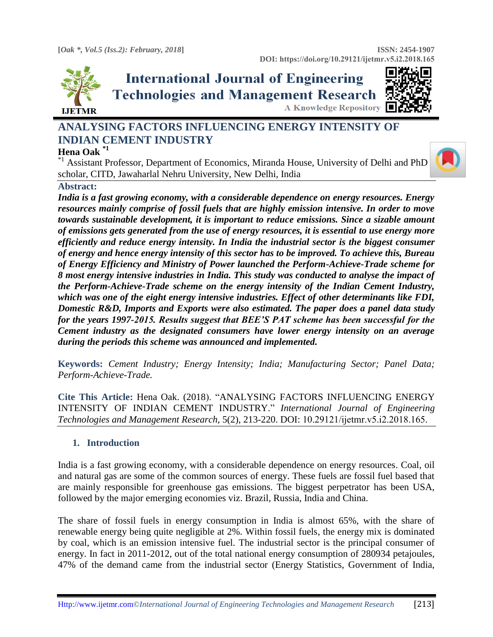

## **International Journal of Engineering Technologies and Management Research A Knowledge Repository**



### **ANALYSING FACTORS INFLUENCING ENERGY INTENSITY OF INDIAN CEMENT INDUSTRY**

#### **Hena Oak \*1**

<sup>\*1</sup>Assistant Professor, Department of Economics, Miranda House, University of Delhi and PhD scholar, CITD, Jawaharlal Nehru University, New Delhi, India

#### **Abstract:**

*India is a fast growing economy, with a considerable dependence on energy resources. Energy resources mainly comprise of fossil fuels that are highly emission intensive. In order to move towards sustainable development, it is important to reduce emissions. Since a sizable amount of emissions gets generated from the use of energy resources, it is essential to use energy more efficiently and reduce energy intensity. In India the industrial sector is the biggest consumer of energy and hence energy intensity of this sector has to be improved. To achieve this, Bureau of Energy Efficiency and Ministry of Power launched the Perform-Achieve-Trade scheme for 8 most energy intensive industries in India. This study was conducted to analyse the impact of the Perform-Achieve-Trade scheme on the energy intensity of the Indian Cement Industry, which was one of the eight energy intensive industries. Effect of other determinants like FDI, Domestic R&D, Imports and Exports were also estimated. The paper does a panel data study for the years 1997-2015. Results suggest that BEE'S PAT scheme has been successful for the Cement industry as the designated consumers have lower energy intensity on an average during the periods this scheme was announced and implemented.*

**Keywords:** *Cement Industry; Energy Intensity; India; Manufacturing Sector; Panel Data; Perform-Achieve-Trade.* 

**Cite This Article:** Hena Oak. (2018). "ANALYSING FACTORS INFLUENCING ENERGY INTENSITY OF INDIAN CEMENT INDUSTRY." *International Journal of Engineering Technologies and Management Research,* 5(2), 213-220. DOI: 10.29121/ijetmr.v5.i2.2018.165.

#### **1. Introduction**

India is a fast growing economy, with a considerable dependence on energy resources. Coal, oil and natural gas are some of the common sources of energy. These fuels are fossil fuel based that are mainly responsible for greenhouse gas emissions. The biggest perpetrator has been USA, followed by the major emerging economies viz. Brazil, Russia, India and China.

The share of fossil fuels in energy consumption in India is almost 65%, with the share of renewable energy being quite negligible at 2%. Within fossil fuels, the energy mix is dominated by coal, which is an emission intensive fuel. The industrial sector is the principal consumer of energy. In fact in 2011-2012, out of the total national energy consumption of 280934 petajoules, 47% of the demand came from the industrial sector (Energy Statistics, Government of India,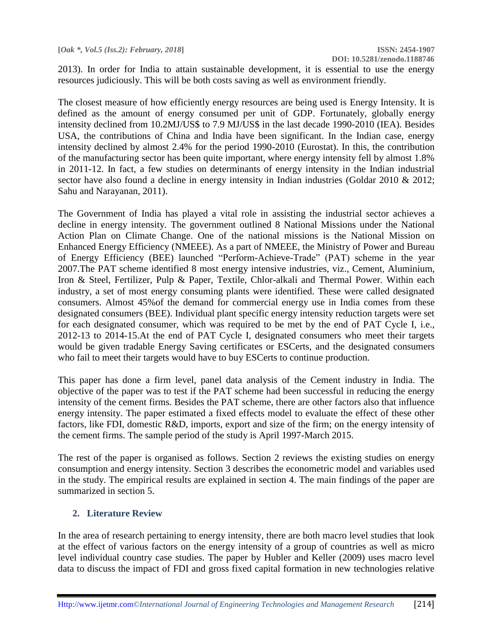2013). In order for India to attain sustainable development, it is essential to use the energy resources judiciously. This will be both costs saving as well as environment friendly.

The closest measure of how efficiently energy resources are being used is Energy Intensity. It is defined as the amount of energy consumed per unit of GDP. Fortunately, globally energy intensity declined from 10.2MJ/US\$ to 7.9 MJ/US\$ in the last decade 1990-2010 (IEA). Besides USA, the contributions of China and India have been significant. In the Indian case, energy intensity declined by almost 2.4% for the period 1990-2010 (Eurostat). In this, the contribution of the manufacturing sector has been quite important, where energy intensity fell by almost 1.8% in 2011-12. In fact, a few studies on determinants of energy intensity in the Indian industrial sector have also found a decline in energy intensity in Indian industries (Goldar 2010 & 2012; Sahu and Narayanan, 2011).

The Government of India has played a vital role in assisting the industrial sector achieves a decline in energy intensity. The government outlined 8 National Missions under the National Action Plan on Climate Change. One of the national missions is the National Mission on Enhanced Energy Efficiency (NMEEE). As a part of NMEEE, the Ministry of Power and Bureau of Energy Efficiency (BEE) launched "Perform-Achieve-Trade" (PAT) scheme in the year 2007.The PAT scheme identified 8 most energy intensive industries, viz., Cement, Aluminium, Iron & Steel, Fertilizer, Pulp & Paper, Textile, Chlor-alkali and Thermal Power. Within each industry, a set of most energy consuming plants were identified. These were called designated consumers. Almost 45%of the demand for commercial energy use in India comes from these designated consumers (BEE). Individual plant specific energy intensity reduction targets were set for each designated consumer, which was required to be met by the end of PAT Cycle I, i.e., 2012-13 to 2014-15.At the end of PAT Cycle I, designated consumers who meet their targets would be given tradable Energy Saving certificates or ESCerts, and the designated consumers who fail to meet their targets would have to buy ESCerts to continue production.

This paper has done a firm level, panel data analysis of the Cement industry in India. The objective of the paper was to test if the PAT scheme had been successful in reducing the energy intensity of the cement firms. Besides the PAT scheme, there are other factors also that influence energy intensity. The paper estimated a fixed effects model to evaluate the effect of these other factors, like FDI, domestic R&D, imports, export and size of the firm; on the energy intensity of the cement firms. The sample period of the study is April 1997-March 2015.

The rest of the paper is organised as follows. Section 2 reviews the existing studies on energy consumption and energy intensity. Section 3 describes the econometric model and variables used in the study. The empirical results are explained in section 4. The main findings of the paper are summarized in section 5.

#### **2. Literature Review**

In the area of research pertaining to energy intensity, there are both macro level studies that look at the effect of various factors on the energy intensity of a group of countries as well as micro level individual country case studies. The paper by Hubler and Keller (2009) uses macro level data to discuss the impact of FDI and gross fixed capital formation in new technologies relative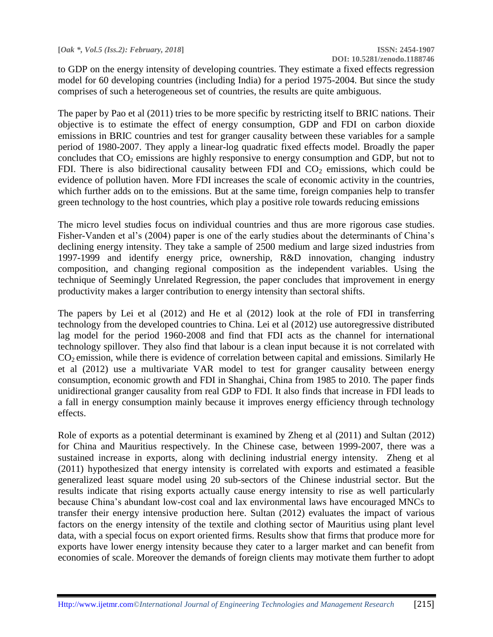to GDP on the energy intensity of developing countries. They estimate a fixed effects regression model for 60 developing countries (including India) for a period 1975-2004. But since the study comprises of such a heterogeneous set of countries, the results are quite ambiguous.

The paper by Pao et al (2011) tries to be more specific by restricting itself to BRIC nations. Their objective is to estimate the effect of energy consumption, GDP and FDI on carbon dioxide emissions in BRIC countries and test for granger causality between these variables for a sample period of 1980-2007. They apply a linear-log quadratic fixed effects model. Broadly the paper concludes that  $CO<sub>2</sub>$  emissions are highly responsive to energy consumption and GDP, but not to FDI. There is also bidirectional causality between FDI and  $CO<sub>2</sub>$  emissions, which could be evidence of pollution haven. More FDI increases the scale of economic activity in the countries, which further adds on to the emissions. But at the same time, foreign companies help to transfer green technology to the host countries, which play a positive role towards reducing emissions

The micro level studies focus on individual countries and thus are more rigorous case studies. Fisher-Vanden et al's (2004) paper is one of the early studies about the determinants of China's declining energy intensity. They take a sample of 2500 medium and large sized industries from 1997-1999 and identify energy price, ownership, R&D innovation, changing industry composition, and changing regional composition as the independent variables. Using the technique of Seemingly Unrelated Regression, the paper concludes that improvement in energy productivity makes a larger contribution to energy intensity than sectoral shifts.

The papers by Lei et al (2012) and He et al (2012) look at the role of FDI in transferring technology from the developed countries to China. Lei et al (2012) use autoregressive distributed lag model for the period 1960-2008 and find that FDI acts as the channel for international technology spillover. They also find that labour is a clean input because it is not correlated with  $CO<sub>2</sub>$  emission, while there is evidence of correlation between capital and emissions. Similarly He et al (2012) use a multivariate VAR model to test for granger causality between energy consumption, economic growth and FDI in Shanghai, China from 1985 to 2010. The paper finds unidirectional granger causality from real GDP to FDI. It also finds that increase in FDI leads to a fall in energy consumption mainly because it improves energy efficiency through technology effects.

Role of exports as a potential determinant is examined by Zheng et al (2011) and Sultan (2012) for China and Mauritius respectively. In the Chinese case, between 1999-2007, there was a sustained increase in exports, along with declining industrial energy intensity. Zheng et al (2011) hypothesized that energy intensity is correlated with exports and estimated a feasible generalized least square model using 20 sub-sectors of the Chinese industrial sector. But the results indicate that rising exports actually cause energy intensity to rise as well particularly because China's abundant low-cost coal and lax environmental laws have encouraged MNCs to transfer their energy intensive production here. Sultan (2012) evaluates the impact of various factors on the energy intensity of the textile and clothing sector of Mauritius using plant level data, with a special focus on export oriented firms. Results show that firms that produce more for exports have lower energy intensity because they cater to a larger market and can benefit from economies of scale. Moreover the demands of foreign clients may motivate them further to adopt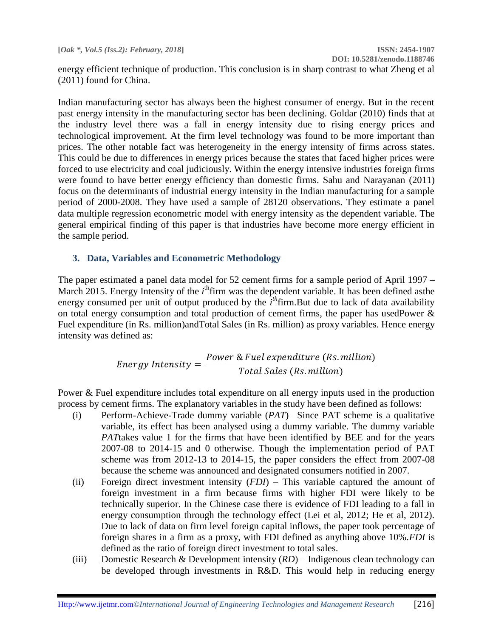**DOI: 10.5281/zenodo.1188746**

energy efficient technique of production. This conclusion is in sharp contrast to what Zheng et al (2011) found for China.

Indian manufacturing sector has always been the highest consumer of energy. But in the recent past energy intensity in the manufacturing sector has been declining. Goldar (2010) finds that at the industry level there was a fall in energy intensity due to rising energy prices and technological improvement. At the firm level technology was found to be more important than prices. The other notable fact was heterogeneity in the energy intensity of firms across states. This could be due to differences in energy prices because the states that faced higher prices were forced to use electricity and coal judiciously. Within the energy intensive industries foreign firms were found to have better energy efficiency than domestic firms. Sahu and Narayanan (2011) focus on the determinants of industrial energy intensity in the Indian manufacturing for a sample period of 2000-2008. They have used a sample of 28120 observations. They estimate a panel data multiple regression econometric model with energy intensity as the dependent variable. The general empirical finding of this paper is that industries have become more energy efficient in the sample period.

#### **3. Data, Variables and Econometric Methodology**

The paper estimated a panel data model for 52 cement firms for a sample period of April 1997 – March 2015. Energy Intensity of the *i*<sup>th</sup>firm was the dependent variable. It has been defined asthe energy consumed per unit of output produced by the  $i<sup>th</sup>$ firm.But due to lack of data availability on total energy consumption and total production of cement firms, the paper has usedPower & Fuel expenditure (in Rs. million)andTotal Sales (in Rs. million) as proxy variables. Hence energy intensity was defined as:

Energy Intensity = 
$$
\frac{Power & Field\ expenditure\ (Rs. million)}{Total\ Sales\ (Rs. million)}
$$

Power & Fuel expenditure includes total expenditure on all energy inputs used in the production process by cement firms. The explanatory variables in the study have been defined as follows:

- (i) Perform-Achieve-Trade dummy variable (*PAT*) –Since PAT scheme is a qualitative variable, its effect has been analysed using a dummy variable. The dummy variable *PAT*takes value 1 for the firms that have been identified by BEE and for the years 2007-08 to 2014-15 and 0 otherwise. Though the implementation period of PAT scheme was from 2012-13 to 2014-15, the paper considers the effect from 2007-08 because the scheme was announced and designated consumers notified in 2007.
- (ii) Foreign direct investment intensity (*FDI*) This variable captured the amount of foreign investment in a firm because firms with higher FDI were likely to be technically superior. In the Chinese case there is evidence of FDI leading to a fall in energy consumption through the technology effect (Lei et al, 2012; He et al, 2012). Due to lack of data on firm level foreign capital inflows, the paper took percentage of foreign shares in a firm as a proxy, with FDI defined as anything above 10%.*FDI* is defined as the ratio of foreign direct investment to total sales.
- (iii) Domestic Research & Development intensity (*RD*) Indigenous clean technology can be developed through investments in R&D. This would help in reducing energy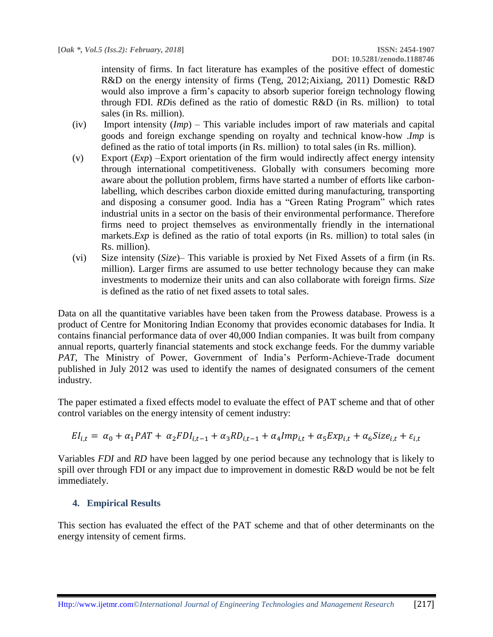intensity of firms. In fact literature has examples of the positive effect of domestic R&D on the energy intensity of firms (Teng, 2012;Aixiang, 2011) Domestic R&D would also improve a firm's capacity to absorb superior foreign technology flowing through FDI. *RD*is defined as the ratio of domestic R&D (in Rs. million) to total sales (in Rs. million).

- (iv) Import intensity (*Imp*) This variable includes import of raw materials and capital goods and foreign exchange spending on royalty and technical know-how .*Imp* is defined as the ratio of total imports (in Rs. million) to total sales (in Rs. million).
- (v) Export (*Exp*) –Export orientation of the firm would indirectly affect energy intensity through international competitiveness. Globally with consumers becoming more aware about the pollution problem, firms have started a number of efforts like carbonlabelling, which describes carbon dioxide emitted during manufacturing, transporting and disposing a consumer good. India has a "Green Rating Program" which rates industrial units in a sector on the basis of their environmental performance. Therefore firms need to project themselves as environmentally friendly in the international markets.*Exp* is defined as the ratio of total exports (in Rs. million) to total sales (in Rs. million).
- (vi) Size intensity (*Size*)– This variable is proxied by Net Fixed Assets of a firm (in Rs. million). Larger firms are assumed to use better technology because they can make investments to modernize their units and can also collaborate with foreign firms. *Size* is defined as the ratio of net fixed assets to total sales.

Data on all the quantitative variables have been taken from the Prowess database. Prowess is a product of Centre for Monitoring Indian Economy that provides economic databases for India. It contains financial performance data of over 40,000 Indian companies. It was built from company annual reports, quarterly financial statements and stock exchange feeds. For the dummy variable *PAT*, The Ministry of Power, Government of India's Perform-Achieve-Trade document published in July 2012 was used to identify the names of designated consumers of the cement industry.

The paper estimated a fixed effects model to evaluate the effect of PAT scheme and that of other control variables on the energy intensity of cement industry:

$$
EI_{i,t} = \alpha_0 + \alpha_1 PAT + \alpha_2 FDI_{i,t-1} + \alpha_3 RDI_{i,t-1} + \alpha_4 Imp_{i,t} + \alpha_5 Exp_{i,t} + \alpha_6 Size_{i,t} + \varepsilon_{i,t}
$$

Variables *FDI* and *RD* have been lagged by one period because any technology that is likely to spill over through FDI or any impact due to improvement in domestic R&D would be not be felt immediately.

#### **4. Empirical Results**

This section has evaluated the effect of the PAT scheme and that of other determinants on the energy intensity of cement firms.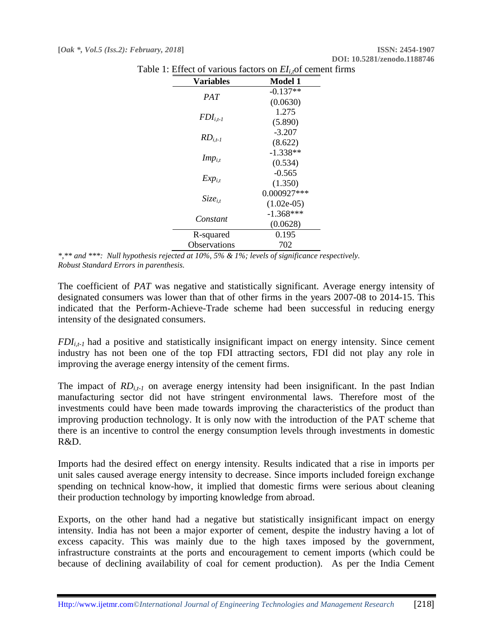| <b>Variables</b> | <b>Model 1</b> |
|------------------|----------------|
| <b>PAT</b>       | $-0.137**$     |
|                  | (0.0630)       |
| $FDI_{i,t-1}$    | 1.275          |
|                  | (5.890)        |
| $RD_{i.t-1}$     | $-3.207$       |
|                  | (8.622)        |
| $Imp_{i,t}$      | $-1.338**$     |
|                  | (0.534)        |
| $Exp_{i,t}$      | $-0.565$       |
|                  | (1.350)        |
| $Size_{i.t}$     | $0.000927***$  |
|                  | $(1.02e-05)$   |
| Constant         | $-1.368***$    |
|                  | (0.0628)       |
| R-squared        | 0.195          |
| Observations     | 702            |

Table 1: Effect of various factors on  $EI_i$ , of cement firms

*\*,\*\* and \*\*\*: Null hypothesis rejected at 10%, 5% & 1%; levels of significance respectively. Robust Standard Errors in parenthesis.*

The coefficient of *PAT* was negative and statistically significant. Average energy intensity of designated consumers was lower than that of other firms in the years 2007-08 to 2014-15. This indicated that the Perform-Achieve-Trade scheme had been successful in reducing energy intensity of the designated consumers.

 $FDI_{i,t-1}$  had a positive and statistically insignificant impact on energy intensity. Since cement industry has not been one of the top FDI attracting sectors, FDI did not play any role in improving the average energy intensity of the cement firms.

The impact of  $RD_{i,t-1}$  on average energy intensity had been insignificant. In the past Indian manufacturing sector did not have stringent environmental laws. Therefore most of the investments could have been made towards improving the characteristics of the product than improving production technology. It is only now with the introduction of the PAT scheme that there is an incentive to control the energy consumption levels through investments in domestic R&D.

Imports had the desired effect on energy intensity. Results indicated that a rise in imports per unit sales caused average energy intensity to decrease. Since imports included foreign exchange spending on technical know-how, it implied that domestic firms were serious about cleaning their production technology by importing knowledge from abroad.

Exports, on the other hand had a negative but statistically insignificant impact on energy intensity. India has not been a major exporter of cement, despite the industry having a lot of excess capacity. This was mainly due to the high taxes imposed by the government, infrastructure constraints at the ports and encouragement to cement imports (which could be because of declining availability of coal for cement production). As per the India Cement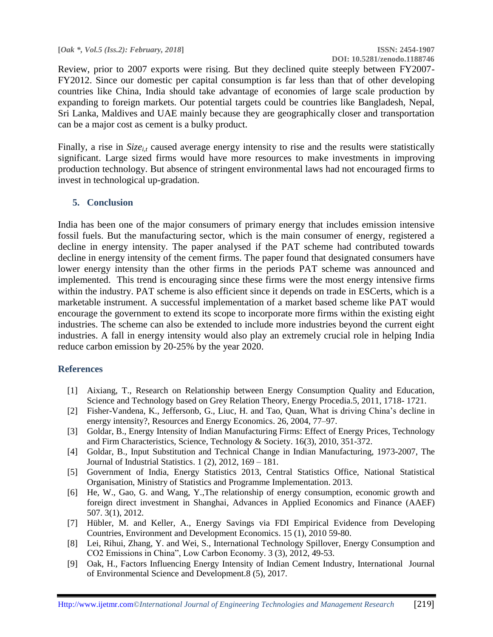**[***Oak \*, Vol.5 (Iss.2): February, 2018***] ISSN: 2454-1907**

# **DOI: 10.5281/zenodo.1188746**

Review, prior to 2007 exports were rising. But they declined quite steeply between FY2007- FY2012. Since our domestic per capital consumption is far less than that of other developing countries like China, India should take advantage of economies of large scale production by expanding to foreign markets. Our potential targets could be countries like Bangladesh, Nepal, Sri Lanka, Maldives and UAE mainly because they are geographically closer and transportation can be a major cost as cement is a bulky product.

Finally, a rise in *Size<sub>it</sub>* caused average energy intensity to rise and the results were statistically significant. Large sized firms would have more resources to make investments in improving production technology. But absence of stringent environmental laws had not encouraged firms to invest in technological up-gradation.

#### **5. Conclusion**

India has been one of the major consumers of primary energy that includes emission intensive fossil fuels. But the manufacturing sector, which is the main consumer of energy, registered a decline in energy intensity. The paper analysed if the PAT scheme had contributed towards decline in energy intensity of the cement firms. The paper found that designated consumers have lower energy intensity than the other firms in the periods PAT scheme was announced and implemented. This trend is encouraging since these firms were the most energy intensive firms within the industry. PAT scheme is also efficient since it depends on trade in ESCerts, which is a marketable instrument. A successful implementation of a market based scheme like PAT would encourage the government to extend its scope to incorporate more firms within the existing eight industries. The scheme can also be extended to include more industries beyond the current eight industries. A fall in energy intensity would also play an extremely crucial role in helping India reduce carbon emission by 20-25% by the year 2020.

#### **References**

- [1] Aixiang, T., Research on Relationship between Energy Consumption Quality and Education, Science and Technology based on Grey Relation Theory, Energy Procedia.5, 2011, 1718- 1721.
- [2] Fisher-Vandena, K., Jeffersonb, G., Liuc, H. and Tao, Quan, What is driving China's decline in energy intensity?, Resources and Energy Economics. 26, 2004, 77–97.
- [3] Goldar, B., Energy Intensity of Indian Manufacturing Firms: Effect of Energy Prices, Technology and Firm Characteristics, Science, Technology & Society. 16(3), 2010, 351-372.
- [4] Goldar, B., Input Substitution and Technical Change in Indian Manufacturing, 1973-2007, The Journal of Industrial Statistics. 1 (2), 2012, 169 – 181.
- [5] Government of India, Energy Statistics 2013, Central Statistics Office, National Statistical Organisation, Ministry of Statistics and Programme Implementation. 2013.
- [6] He, W., Gao, G. and Wang, Y.,The relationship of energy consumption, economic growth and foreign direct investment in Shanghai, Advances in Applied Economics and Finance (AAEF) 507. 3(1), 2012.
- [7] Hübler, M. and Keller, A., Energy Savings via FDI Empirical Evidence from Developing Countries, Environment and Development Economics. 15 (1), 2010 59-80.
- [8] Lei, Rihui, Zhang, Y. and Wei, S., International Technology Spillover, Energy Consumption and CO2 Emissions in China", Low Carbon Economy. 3 (3), 2012, 49-53.
- [9] Oak, H., Factors Influencing Energy Intensity of Indian Cement Industry, International Journal of Environmental Science and Development.8 (5), 2017.